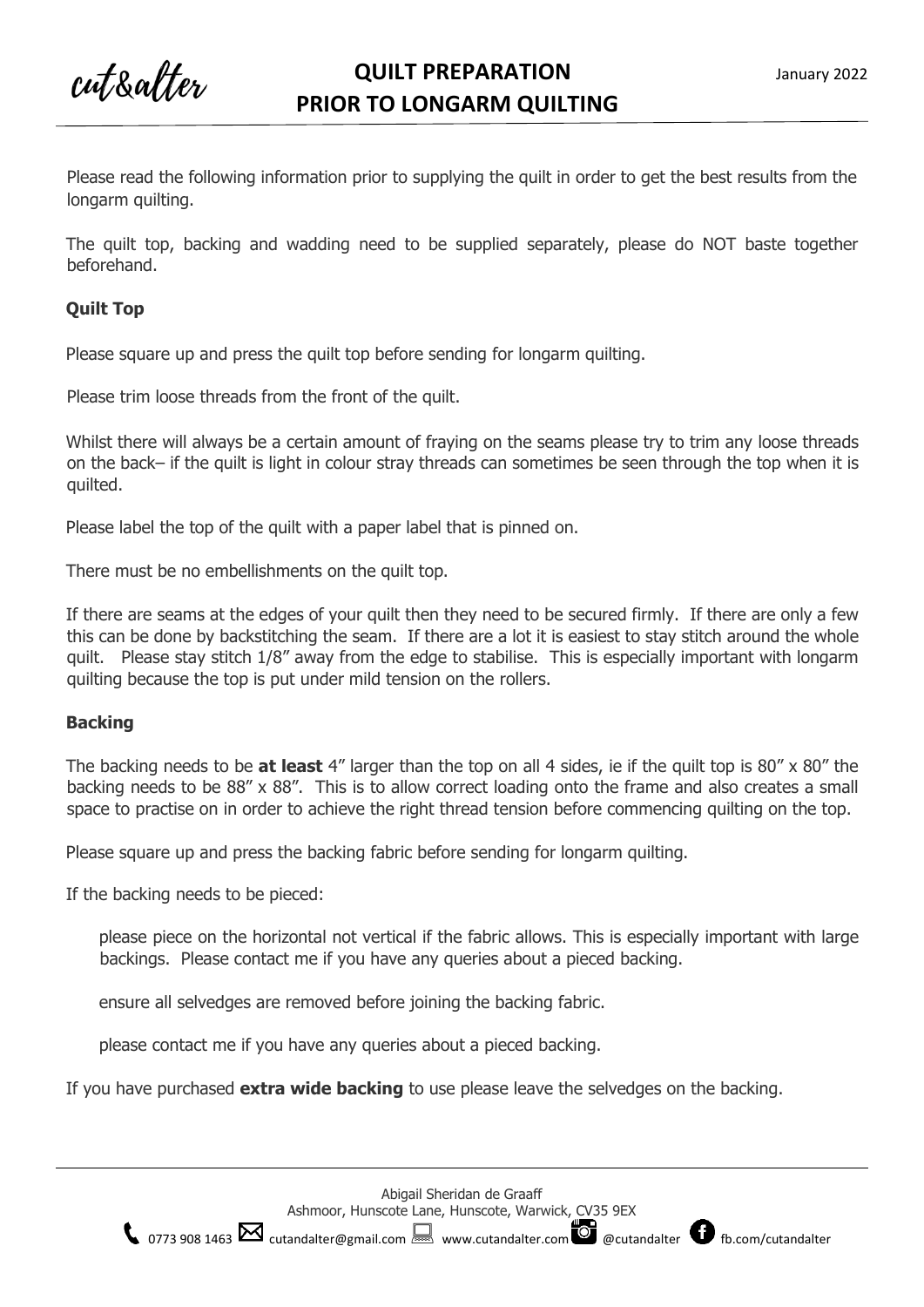cut&alter

Please read the following information prior to supplying the quilt in order to get the best results from the longarm quilting.

The quilt top, backing and wadding need to be supplied separately, please do NOT baste together beforehand.

## **Quilt Top**

Please square up and press the quilt top before sending for longarm quilting.

Please trim loose threads from the front of the quilt.

Whilst there will always be a certain amount of fraying on the seams please try to trim any loose threads on the back– if the quilt is light in colour stray threads can sometimes be seen through the top when it is quilted.

Please label the top of the quilt with a paper label that is pinned on.

There must be no embellishments on the quilt top.

If there are seams at the edges of your quilt then they need to be secured firmly. If there are only a few this can be done by backstitching the seam. If there are a lot it is easiest to stay stitch around the whole quilt. Please stay stitch 1/8" away from the edge to stabilise. This is especially important with longarm quilting because the top is put under mild tension on the rollers.

## **Backing**

The backing needs to be **at least** 4" larger than the top on all 4 sides, ie if the quilt top is 80" x 80" the backing needs to be 88" x 88". This is to allow correct loading onto the frame and also creates a small space to practise on in order to achieve the right thread tension before commencing quilting on the top.

Please square up and press the backing fabric before sending for longarm quilting.

If the backing needs to be pieced:

please piece on the horizontal not vertical if the fabric allows. This is especially important with large backings. Please contact me if you have any queries about a pieced backing.

ensure all selvedges are removed before joining the backing fabric.

please contact me if you have any queries about a pieced backing.

If you have purchased **extra wide backing** to use please leave the selvedges on the backing.



 $\binom{1}{0773\,908\,1463}$  [cutandalter@gmail.com](mailto:cutandalter@gmail.com)  $\Box$  [www.cutandalter.com](http://www.cutandalter.com/)  $\Box$  @cutandalter  $\Box$  fb.com/cutandalter